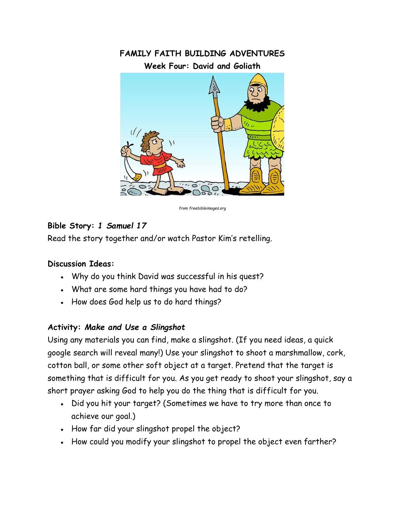

*from freebibleimages.org*

## **Bible Story:** *1 Samuel 17*

Read the story together and/or watch Pastor Kim's retelling.

## **Discussion Ideas:**

- Why do you think David was successful in his quest?
- What are some hard things you have had to do?
- How does God help us to do hard things?

## **Activity:** *Make and Use a Slingshot*

Using any materials you can find, make a slingshot. (If you need ideas, a quick google search will reveal many!) Use your slingshot to shoot a marshmallow, cork, cotton ball, or some other soft object at a target. Pretend that the target is something that is difficult for you. As you get ready to shoot your slingshot, say a short prayer asking God to help you do the thing that is difficult for you.

- Did you hit your target? (Sometimes we have to try more than once to achieve our goal.)
- How far did your slingshot propel the object?
- How could you modify your slingshot to propel the object even farther?